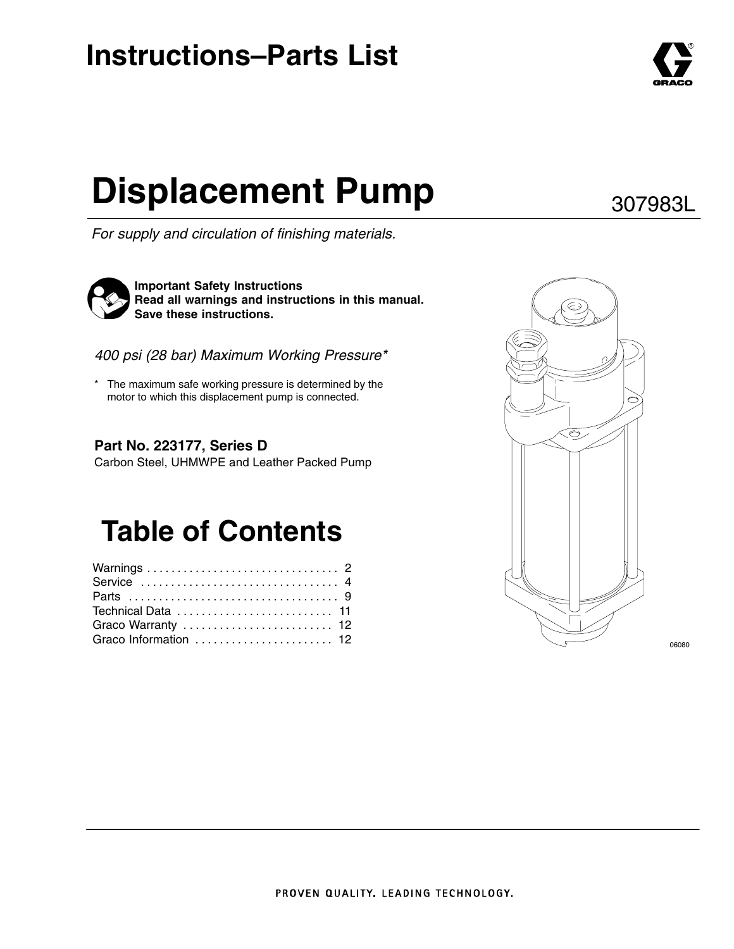# **Instructions–Parts List**

# **Displacement Pump** 307983L

*For supply and circulation of finishing materials.*



**Important Safety Instructions Read all warnings and instructions in this manual. Save these instructions.**

*400 psi (28 bar) Maximum Working Pressure\**

The maximum safe working pressure is determined by the motor to which this displacement pump is connected.

### **Part No. 223177, Series D**

Carbon Steel, UHMWPE and Leather Packed Pump

# **Table of Contents**

| Service  4            |  |
|-----------------------|--|
|                       |  |
| Technical Data  11    |  |
| Graco Warranty  12    |  |
| Graco Information  12 |  |



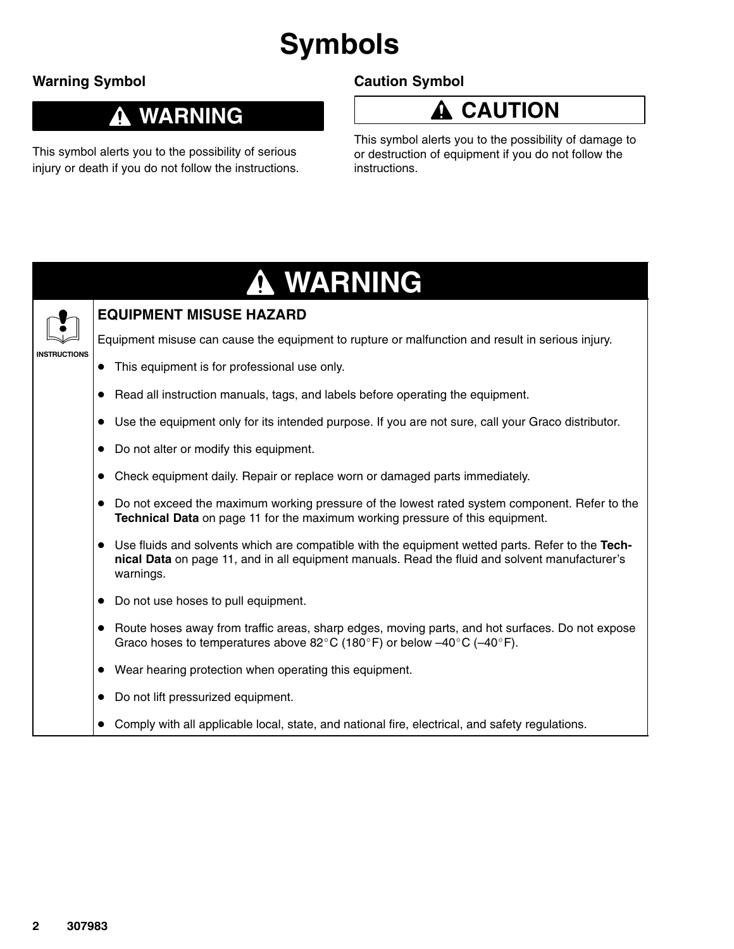# **Symbols**

### **Warning Symbol**

### **Caution Symbol**

### **WARNING**

This symbol alerts you to the possibility of serious injury or death if you do not follow the instructions. **CAUTION**

This symbol alerts you to the possibility of damage to or destruction of equipment if you do not follow the instructions.

# **WARNING**



### **EQUIPMENT MISUSE HAZARD**

Equipment misuse can cause the equipment to rupture or malfunction and result in serious injury.

- This equipment is for professional use only.
- Read all instruction manuals, tags, and labels before operating the equipment.
- Use the equipment only for its intended purpose. If you are not sure, call your Graco distributor.
- Do not alter or modify this equipment.
- Check equipment daily. Repair or replace worn or damaged parts immediately.
- Do not exceed the maximum working pressure of the lowest rated system component. Refer to the **Technical Data** on page 11 for the maximum working pressure of this equipment.
- Use fluids and solvents which are compatible with the equipment wetted parts. Refer to the **Technical Data** on page 11, and in all equipment manuals. Read the fluid and solvent manufacturer's warnings.
- Do not use hoses to pull equipment.
- Route hoses away from traffic areas, sharp edges, moving parts, and hot surfaces. Do not expose Graco hoses to temperatures above 82 $^{\circ}$ C (180 $^{\circ}$ F) or below  $-40^{\circ}$ C (-40 $^{\circ}$ F).
- Wear hearing protection when operating this equipment.
- Do not lift pressurized equipment.
- Comply with all applicable local, state, and national fire, electrical, and safety regulations.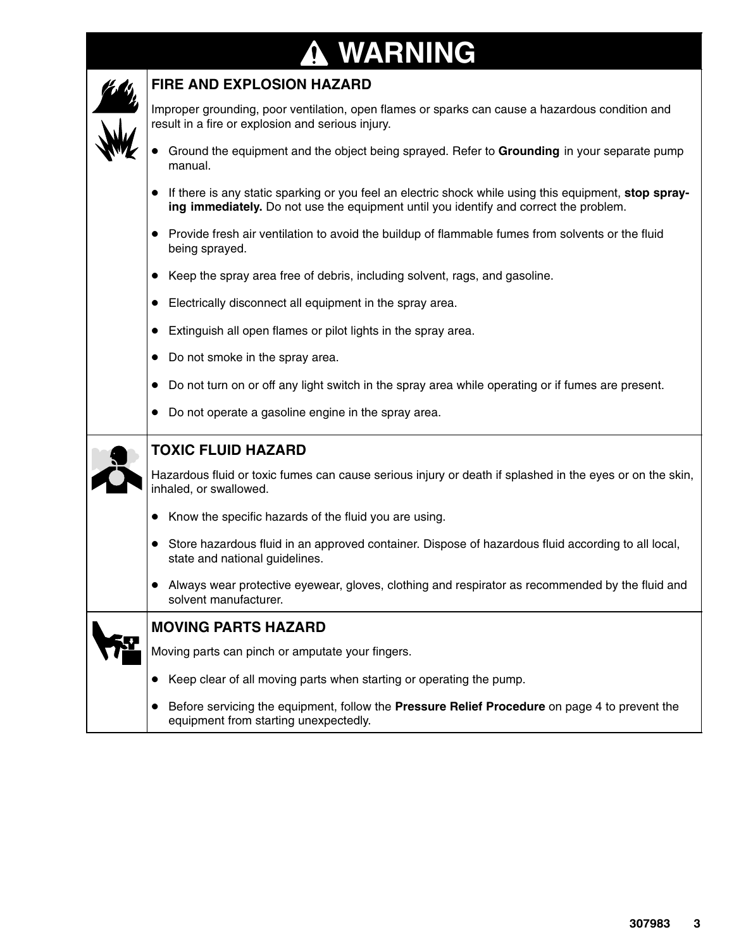# **WARNING**

⊤

| <b>FIRE AND EXPLOSION HAZARD</b>                                                                                                                                                               |
|------------------------------------------------------------------------------------------------------------------------------------------------------------------------------------------------|
| Improper grounding, poor ventilation, open flames or sparks can cause a hazardous condition and<br>result in a fire or explosion and serious injury.                                           |
| Ground the equipment and the object being sprayed. Refer to Grounding in your separate pump<br>manual.                                                                                         |
| If there is any static sparking or you feel an electric shock while using this equipment, stop spray-<br>ing immediately. Do not use the equipment until you identify and correct the problem. |
| • Provide fresh air ventilation to avoid the buildup of flammable fumes from solvents or the fluid<br>being sprayed.                                                                           |
| Keep the spray area free of debris, including solvent, rags, and gasoline.                                                                                                                     |
| Electrically disconnect all equipment in the spray area.                                                                                                                                       |
| Extinguish all open flames or pilot lights in the spray area.                                                                                                                                  |
| Do not smoke in the spray area.                                                                                                                                                                |
| Do not turn on or off any light switch in the spray area while operating or if fumes are present.                                                                                              |
| Do not operate a gasoline engine in the spray area.                                                                                                                                            |
| <b>TOXIC FLUID HAZARD</b>                                                                                                                                                                      |
| Hazardous fluid or toxic fumes can cause serious injury or death if splashed in the eyes or on the skin,<br>inhaled, or swallowed.                                                             |
| Know the specific hazards of the fluid you are using.                                                                                                                                          |
| • Store hazardous fluid in an approved container. Dispose of hazardous fluid according to all local,<br>state and national guidelines.                                                         |
| Always wear protective eyewear, gloves, clothing and respirator as recommended by the fluid and<br>solvent manufacturer.                                                                       |
| <b>MOVING PARTS HAZARD</b>                                                                                                                                                                     |
| Moving parts can pinch or amputate your fingers.                                                                                                                                               |
| Keep clear of all moving parts when starting or operating the pump.                                                                                                                            |
| Before servicing the equipment, follow the Pressure Relief Procedure on page 4 to prevent the<br>equipment from starting unexpectedly.                                                         |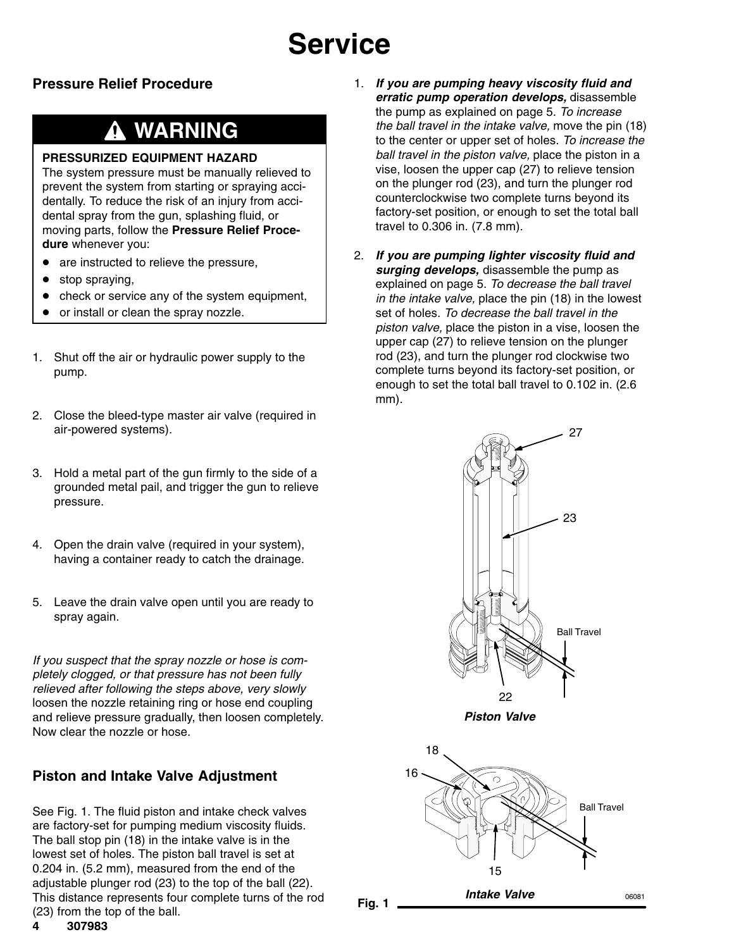### **Pressure Relief Procedure**

### **WARNING**

### **PRESSURIZED EQUIPMENT HAZARD**

The system pressure must be manually relieved to prevent the system from starting or spraying accidentally. To reduce the risk of an injury from accidental spray from the gun, splashing fluid, or moving parts, follow the **Pressure Relief Procedure** whenever you:

- $\bullet$ are instructed to relieve the pressure,
- $\bullet$ stop spraying,
- $\bullet$ check or service any of the system equipment,
- $\bullet$ or install or clean the spray nozzle.
- 1. Shut off the air or hydraulic power supply to the pump.
- 2. Close the bleed-type master air valve (required in air-powered systems).
- 3. Hold a metal part of the gun firmly to the side of a grounded metal pail, and trigger the gun to relieve pressure.
- 4. Open the drain valve (required in your system), having a container ready to catch the drainage.
- 5. Leave the drain valve open until you are ready to spray again.

*If you suspect that the spray nozzle or hose is completely clogged, or that pressure has not been fully relieved after following the steps above, very slowly* loosen the nozzle retaining ring or hose end coupling and relieve pressure gradually, then loosen completely. Now clear the nozzle or hose.

### **Piston and Intake Valve Adjustment**

See Fig. 1. The fluid piston and intake check valves are factory-set for pumping medium viscosity fluids. The ball stop pin (18) in the intake valve is in the lowest set of holes. The piston ball travel is set at 0.204 in. (5.2 mm), measured from the end of the adjustable plunger rod (23) to the top of the ball (22). This distance represents four complete turns of the rod (23) from the top of the ball.

- 1. *If you are pumping heavy viscosity fluid and erratic pump operation develops,* disassemble the pump as explained on page 5. *To increase the ball travel in the intake valve,* move the pin (18) to the center or upper set of holes. *To increase the ball travel in the piston valve,* place the piston in a vise, loosen the upper cap (27) to relieve tension on the plunger rod (23), and turn the plunger rod counterclockwise two complete turns beyond its factory-set position, or enough to set the total ball travel to 0.306 in. (7.8 mm).
- 2. *If you are pumping lighter viscosity fluid and surging develops,* disassemble the pump as explained on page 5. *To decrease the ball travel in the intake valve,* place the pin (18) in the lowest set of holes. *To decrease the ball travel in the piston valve,* place the piston in a vise, loosen the upper cap (27) to relieve tension on the plunger rod (23), and turn the plunger rod clockwise two complete turns beyond its factory-set position, or enough to set the total ball travel to 0.102 in. (2.6 mm).



**Fig. 1**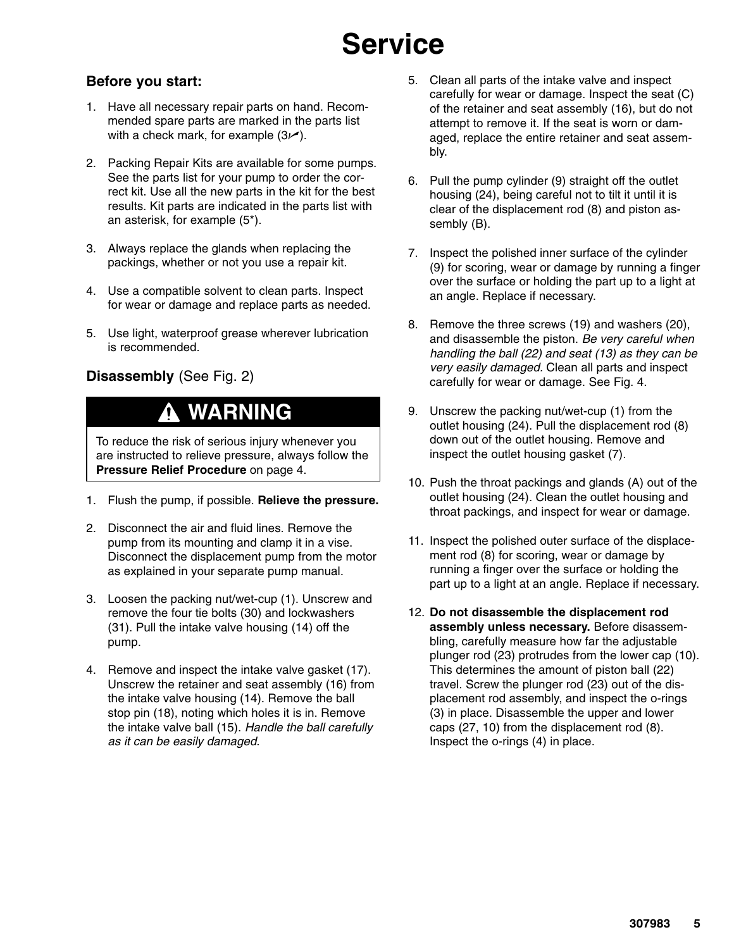### **Before you start:**

- 1. Have all necessary repair parts on hand. Recommended spare parts are marked in the parts list with a check mark, for example  $(3/4)$ .
- 2. Packing Repair Kits are available for some pumps. See the parts list for your pump to order the correct kit. Use all the new parts in the kit for the best results. Kit parts are indicated in the parts list with an asterisk, for example (5\*).
- 3. Always replace the glands when replacing the packings, whether or not you use a repair kit.
- 4. Use a compatible solvent to clean parts. Inspect for wear or damage and replace parts as needed.
- 5. Use light, waterproof grease wherever lubrication is recommended.

### **Disassembly** (See Fig. 2)

### **WARNING**

To reduce the risk of serious injury whenever you are instructed to relieve pressure, always follow the **Pressure Relief Procedure** on page 4.

- 1. Flush the pump, if possible. **Relieve the pressure.**
- 2. Disconnect the air and fluid lines. Remove the pump from its mounting and clamp it in a vise. Disconnect the displacement pump from the motor as explained in your separate pump manual.
- 3. Loosen the packing nut/wet-cup (1). Unscrew and remove the four tie bolts (30) and lockwashers (31). Pull the intake valve housing (14) off the pump.
- 4. Remove and inspect the intake valve gasket (17). Unscrew the retainer and seat assembly (16) from the intake valve housing (14). Remove the ball stop pin (18), noting which holes it is in. Remove the intake valve ball (15). *Handle the ball carefully as it can be easily damaged*.
- 5. Clean all parts of the intake valve and inspect carefully for wear or damage. Inspect the seat (C) of the retainer and seat assembly (16), but do not attempt to remove it. If the seat is worn or damaged, replace the entire retainer and seat assembly.
- 6. Pull the pump cylinder (9) straight off the outlet housing (24), being careful not to tilt it until it is clear of the displacement rod (8) and piston assembly (B).
- 7. Inspect the polished inner surface of the cylinder (9) for scoring, wear or damage by running a finger over the surface or holding the part up to a light at an angle. Replace if necessary.
- 8. Remove the three screws (19) and washers (20), and disassemble the piston. *Be very careful when handling the ball (22) and seat (13) as they can be very easily damaged.* Clean all parts and inspect carefully for wear or damage. See Fig. 4.
- 9. Unscrew the packing nut/wet-cup (1) from the outlet housing (24). Pull the displacement rod (8) down out of the outlet housing. Remove and inspect the outlet housing gasket (7).
- 10. Push the throat packings and glands (A) out of the outlet housing (24). Clean the outlet housing and throat packings, and inspect for wear or damage.
- 11. Inspect the polished outer surface of the displacement rod (8) for scoring, wear or damage by running a finger over the surface or holding the part up to a light at an angle. Replace if necessary.
- 12. **Do not disassemble the displacement rod assembly unless necessary.** Before disassembling, carefully measure how far the adjustable plunger rod (23) protrudes from the lower cap (10). This determines the amount of piston ball (22) travel. Screw the plunger rod (23) out of the displacement rod assembly, and inspect the o-rings (3) in place. Disassemble the upper and lower caps (27, 10) from the displacement rod (8). Inspect the o-rings (4) in place.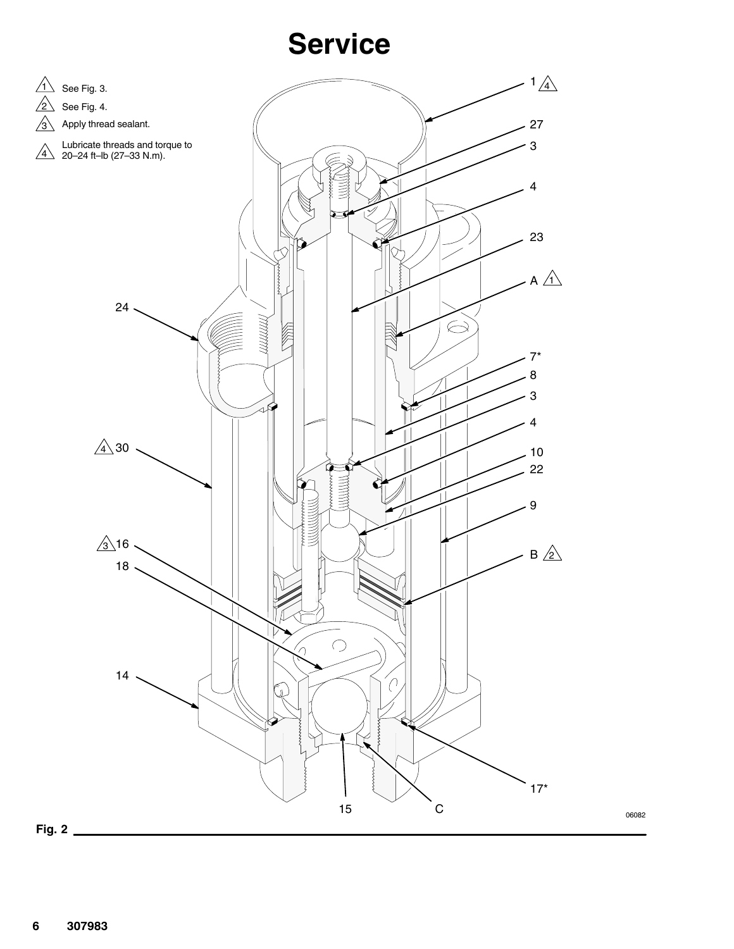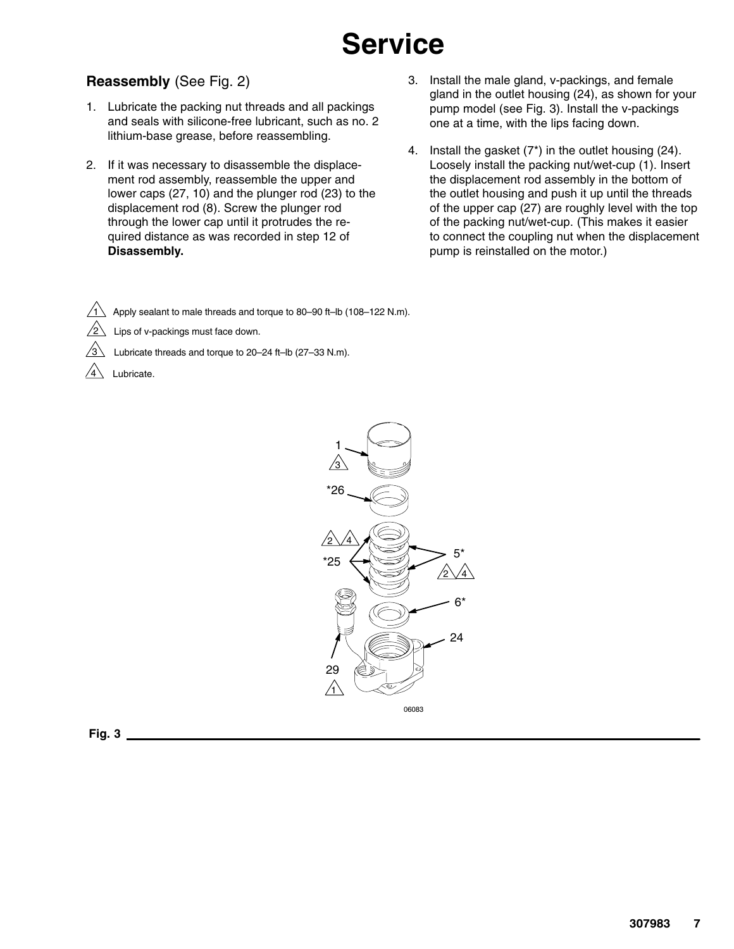### **Reassembly** (See Fig. 2)

- 1. Lubricate the packing nut threads and all packings and seals with silicone-free lubricant, such as no. 2 lithium-base grease, before reassembling.
- 2. If it was necessary to disassemble the displacement rod assembly, reassemble the upper and lower caps (27, 10) and the plunger rod (23) to the displacement rod (8). Screw the plunger rod through the lower cap until it protrudes the required distance as was recorded in step 12 of **Disassembly.**
- 3. Install the male gland, v-packings, and female gland in the outlet housing (24), as shown for your pump model (see Fig. 3). Install the v-packings one at a time, with the lips facing down.
- 4. Install the gasket  $(7^*)$  in the outlet housing  $(24)$ . Loosely install the packing nut/wet-cup (1). Insert the displacement rod assembly in the bottom of the outlet housing and push it up until the threads of the upper cap (27) are roughly level with the top of the packing nut/wet-cup. (This makes it easier to connect the coupling nut when the displacement pump is reinstalled on the motor.)

1 Apply sealant to male threads and torque to 80–90 ft–lb (108–122 N.m).

- $\sqrt{2}$  Lips of v-packings must face down.
	- Lubricate threads and torque to 20–24 ft–lb (27–33 N.m).
- Lubricate.

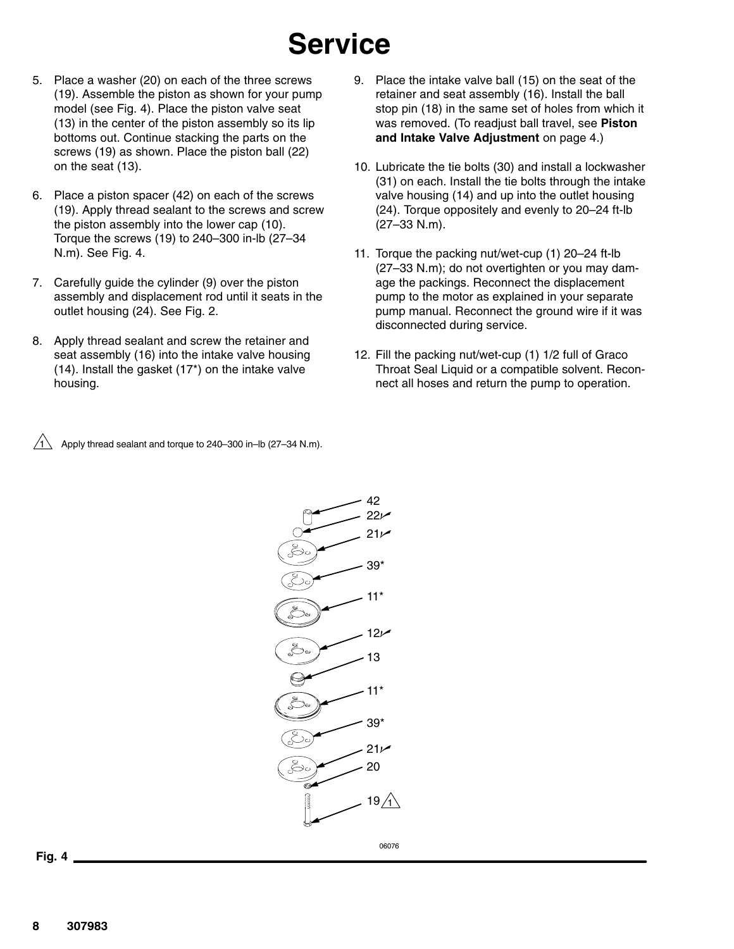- 5. Place a washer (20) on each of the three screws (19). Assemble the piston as shown for your pump model (see Fig. 4). Place the piston valve seat (13) in the center of the piston assembly so its lip bottoms out. Continue stacking the parts on the screws (19) as shown. Place the piston ball (22) on the seat (13).
- 6. Place a piston spacer (42) on each of the screws (19). Apply thread sealant to the screws and screw the piston assembly into the lower cap (10). Torque the screws (19) to 240–300 in-lb (27–34 N.m). See Fig. 4.
- 7. Carefully guide the cylinder (9) over the piston assembly and displacement rod until it seats in the outlet housing (24). See Fig. 2.
- 8. Apply thread sealant and screw the retainer and seat assembly (16) into the intake valve housing (14). Install the gasket (17\*) on the intake valve housing.

 $\sqrt{1}$  Apply thread sealant and torque to 240–300 in–lb (27–34 N.m).



#### **Fig. 4**

9. Place the intake valve ball (15) on the seat of the retainer and seat assembly (16). Install the ball stop pin (18) in the same set of holes from which it was removed. (To readjust ball travel, see **Piston and Intake Valve Adjustment** on page 4.)

- 10. Lubricate the tie bolts (30) and install a lockwasher (31) on each. Install the tie bolts through the intake valve housing (14) and up into the outlet housing (24). Torque oppositely and evenly to 20–24 ft-lb (27–33 N.m).
- 11. Torque the packing nut/wet-cup (1) 20–24 ft-lb (27–33 N.m); do not overtighten or you may damage the packings. Reconnect the displacement pump to the motor as explained in your separate pump manual. Reconnect the ground wire if it was disconnected during service.
- 12. Fill the packing nut/wet-cup (1) 1/2 full of Graco Throat Seal Liquid or a compatible solvent. Reconnect all hoses and return the pump to operation.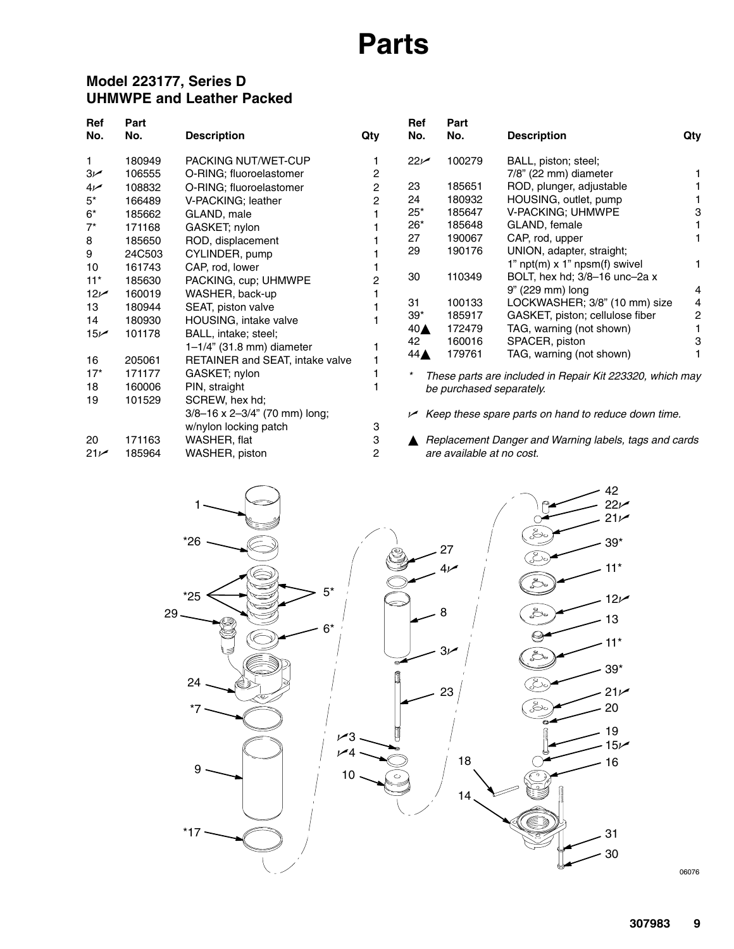## **Parts**

### **Model 223177, Series D UHMWPE and Leather Packed**

| Ref<br>No.      | Part<br>No. | <b>Description</b>                        | Qty | Ref<br>No.         | Part<br>No.               | <b>Description</b>                                       | Qty |
|-----------------|-------------|-------------------------------------------|-----|--------------------|---------------------------|----------------------------------------------------------|-----|
|                 | 180949      | PACKING NUT/WET-CUP                       |     | 22 <sub>k</sub>    | 100279                    |                                                          |     |
| 1.              |             |                                           |     |                    |                           | BALL, piston; steel;                                     |     |
| 3 <sub>k</sub>  | 106555      | O-RING; fluoroelastomer                   | 2   |                    | 185651                    | 7/8" (22 mm) diameter                                    |     |
| 4 <sub>k</sub>  | 108832      | O-RING; fluoroelastomer                   | 2   | 23                 |                           | ROD, plunger, adjustable                                 |     |
| $5^*$           | 166489      | V-PACKING; leather                        | 2   | 24                 | 180932                    | HOUSING, outlet, pump                                    |     |
| $6*$            | 185662      | GLAND, male                               |     | $25*$              | 185647                    | V-PACKING; UHMWPE                                        | 3   |
| $7^*$           | 171168      | GASKET; nylon                             |     | $26*$              | 185648                    | GLAND, female                                            |     |
| 8               | 185650      | ROD, displacement                         |     | 27                 | 190067                    | CAP, rod, upper                                          |     |
| 9               | 24C503      | CYLINDER, pump                            |     | 29                 | 190176                    | UNION, adapter, straight;                                |     |
| 10              | 161743      | CAP, rod, lower                           |     |                    |                           | 1" npt(m) x 1" npsm(f) swivel                            |     |
| $11*$           | 185630      | PACKING, cup; UHMWPE                      |     | 30                 | 110349                    | BOLT, hex hd; 3/8-16 unc-2a x                            |     |
| 12 <sub>k</sub> | 160019      | WASHER, back-up                           |     |                    |                           | 9" (229 mm) long                                         | 4   |
| 13              | 180944      | SEAT, piston valve                        |     | 31                 | 100133                    | LOCKWASHER; 3/8" (10 mm) size                            | 4   |
| 14              | 180930      | HOUSING, intake valve                     |     | $39*$              | 185917                    | GASKET, piston; cellulose fiber                          | 2   |
| 15 <sub>k</sub> | 101178      | BALL, intake; steel;                      |     | $40\blacktriangle$ | 172479                    | TAG, warning (not shown)                                 |     |
|                 |             | 1-1/4" (31.8 mm) diameter                 |     | 42                 | 160016                    | SPACER, piston                                           | з   |
| 16              | 205061      | RETAINER and SEAT, intake valve           |     | $44 \triangle$     | 179761                    | TAG, warning (not shown)                                 |     |
| $17*$           | 171177      | GASKET; nylon                             |     |                    |                           | These parts are included in Repair Kit 223320, which may |     |
| 18              | 160006      | PIN, straight                             |     |                    | be purchased separately.  |                                                          |     |
| 19              | 101529      | SCREW, hex hd;                            |     |                    |                           |                                                          |     |
|                 |             | $3/8 - 16 \times 2 - 3/4$ " (70 mm) long; |     |                    |                           |                                                          |     |
|                 |             | w/nylon locking patch                     | 3   |                    |                           | Keep these spare parts on hand to reduce down time.      |     |
|                 |             |                                           |     |                    |                           |                                                          |     |
| 20              | 171163      | WASHER, flat                              | 3   |                    |                           | Replacement Danger and Warning labels, tags and cards    |     |
| 21 <sub>k</sub> | 185964      | WASHER, piston                            | 2   |                    | are available at no cost. |                                                          |     |



06076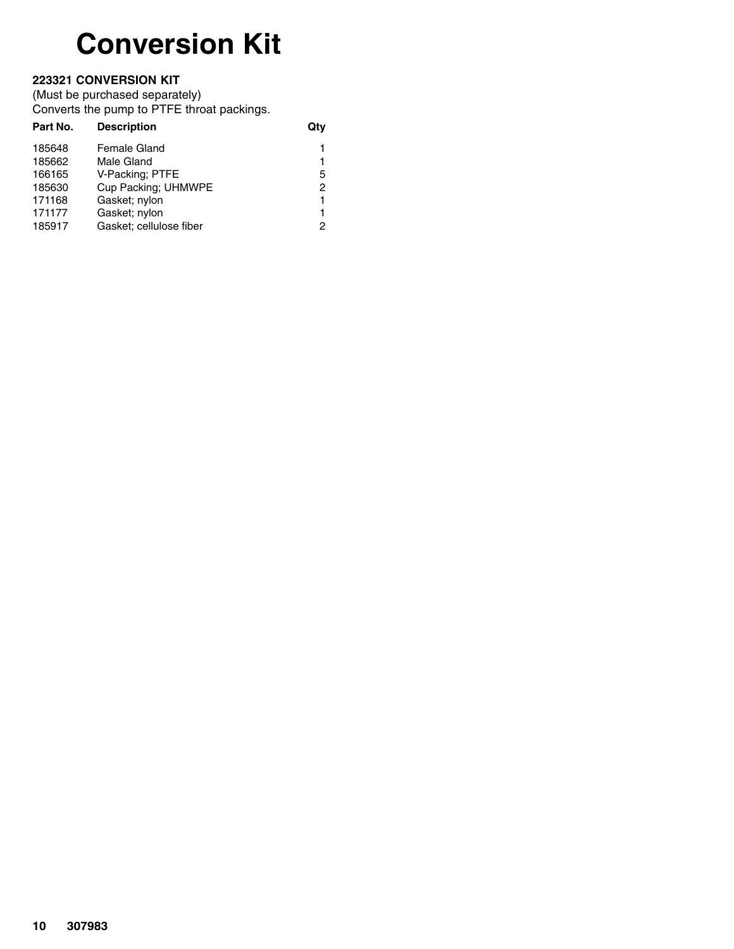# **Conversion Kit**

### **223321 CONVERSION KIT**

(Must be purchased separately)

Converts the pump to PTFE throat packings.

| <b>Description</b>      | Qtv           |
|-------------------------|---------------|
| Female Gland            | 1             |
| Male Gland              | 1             |
| V-Packing; PTFE         | 5             |
| Cup Packing; UHMWPE     | $\mathcal{P}$ |
| Gasket; nylon           | 1             |
| Gasket; nylon           | 1             |
| Gasket; cellulose fiber | 2             |
|                         |               |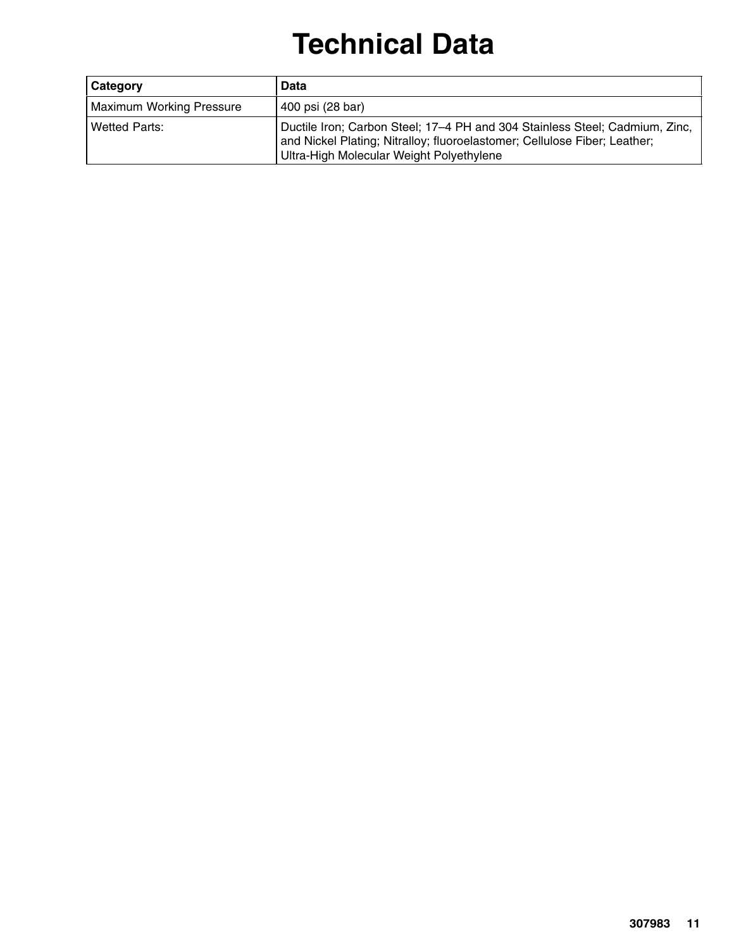# **Technical Data**

| Category                        | Data                                                                                                                                                                                                 |
|---------------------------------|------------------------------------------------------------------------------------------------------------------------------------------------------------------------------------------------------|
| <b>Maximum Working Pressure</b> | 400 psi (28 bar)                                                                                                                                                                                     |
| Wetted Parts:                   | Ductile Iron; Carbon Steel; 17-4 PH and 304 Stainless Steel; Cadmium, Zinc,<br>and Nickel Plating; Nitralloy; fluoroelastomer; Cellulose Fiber; Leather;<br>Ultra-High Molecular Weight Polyethylene |